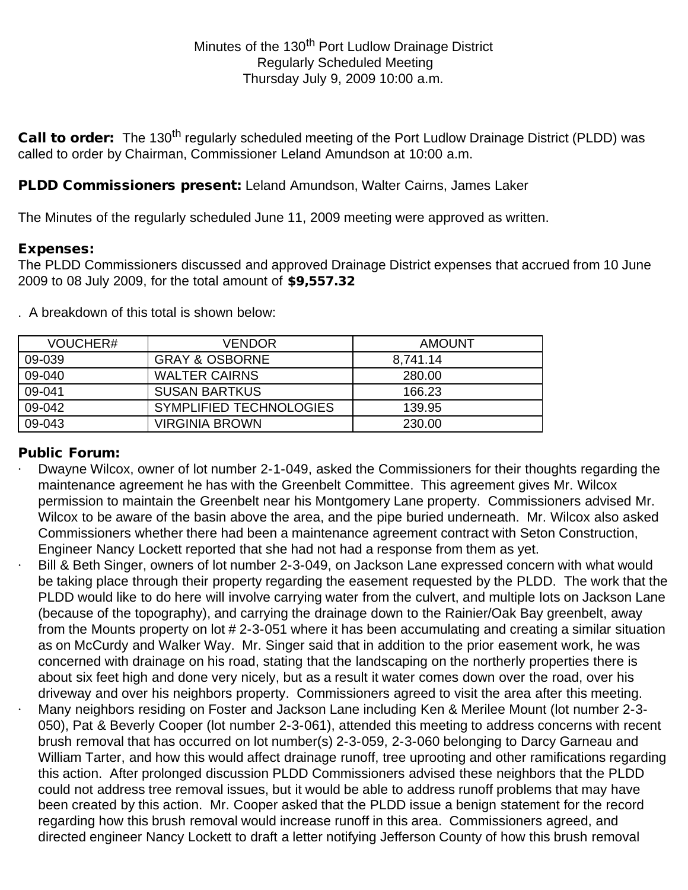Call to order: The 130<sup>th</sup> regularly scheduled meeting of the Port Ludlow Drainage District (PLDD) was called to order by Chairman, Commissioner Leland Amundson at 10:00 a.m.

# PLDD Commissioners present: Leland Amundson, Walter Cairns, James Laker

The Minutes of the regularly scheduled June 11, 2009 meeting were approved as written.

## Expenses:

The PLDD Commissioners discussed and approved Drainage District expenses that accrued from 10 June 2009 to 08 July 2009, for the total amount of \$9,557.32

. A breakdown of this total is shown below:

| VOUCHER# | VENDOR                    | AMOUNT   |
|----------|---------------------------|----------|
| 09-039   | <b>GRAY &amp; OSBORNE</b> | 8,741.14 |
| 09-040   | <b>WALTER CAIRNS</b>      | 280.00   |
| 09-041   | <b>SUSAN BARTKUS</b>      | 166.23   |
| 09-042   | SYMPLIFIED TECHNOLOGIES   | 139.95   |
| 09-043   | VIRGINIA BROWN            | 230.00   |

## Public Forum:

- Dwayne Wilcox, owner of lot number 2-1-049, asked the Commissioners for their thoughts regarding the maintenance agreement he has with the Greenbelt Committee. This agreement gives Mr. Wilcox permission to maintain the Greenbelt near his Montgomery Lane property. Commissioners advised Mr. Wilcox to be aware of the basin above the area, and the pipe buried underneath. Mr. Wilcox also asked Commissioners whether there had been a maintenance agreement contract with Seton Construction, Engineer Nancy Lockett reported that she had not had a response from them as yet.
- Bill & Beth Singer, owners of lot number 2-3-049, on Jackson Lane expressed concern with what would be taking place through their property regarding the easement requested by the PLDD. The work that the PLDD would like to do here will involve carrying water from the culvert, and multiple lots on Jackson Lane (because of the topography), and carrying the drainage down to the Rainier/Oak Bay greenbelt, away from the Mounts property on lot # 2-3-051 where it has been accumulating and creating a similar situation as on McCurdy and Walker Way. Mr. Singer said that in addition to the prior easement work, he was concerned with drainage on his road, stating that the landscaping on the northerly properties there is about six feet high and done very nicely, but as a result it water comes down over the road, over his driveway and over his neighbors property. Commissioners agreed to visit the area after this meeting. · Many neighbors residing on Foster and Jackson Lane including Ken & Merilee Mount (lot number 2-3- 050), Pat & Beverly Cooper (lot number 2-3-061), attended this meeting to address concerns with recent brush removal that has occurred on lot number(s) 2-3-059, 2-3-060 belonging to Darcy Garneau and William Tarter, and how this would affect drainage runoff, tree uprooting and other ramifications regarding this action. After prolonged discussion PLDD Commissioners advised these neighbors that the PLDD could not address tree removal issues, but it would be able to address runoff problems that may have been created by this action. Mr. Cooper asked that the PLDD issue a benign statement for the record regarding how this brush removal would increase runoff in this area. Commissioners agreed, and directed engineer Nancy Lockett to draft a letter notifying Jefferson County of how this brush removal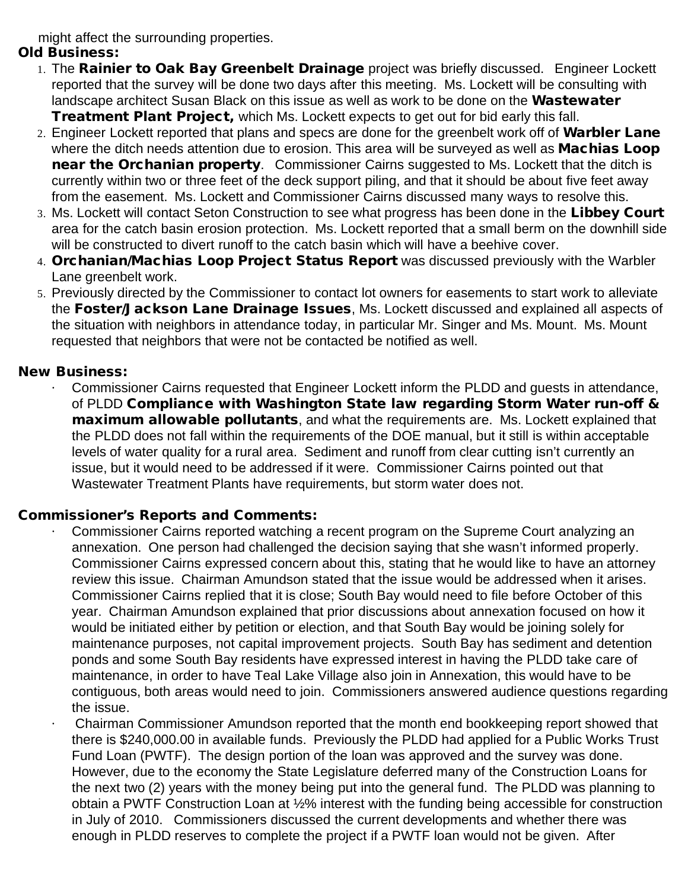might affect the surrounding properties.

# Old Business:

- 1. The Rainier to Oak Bay Greenbelt Drainage project was briefly discussed. Engineer Lockett reported that the survey will be done two days after this meeting. Ms. Lockett will be consulting with landscape architect Susan Black on this issue as well as work to be done on the **Wastewater Treatment Plant Project, which Ms. Lockett expects to get out for bid early this fall.**
- 2. Engineer Lockett reported that plans and specs are done for the greenbelt work off of Warbler Lane where the ditch needs attention due to erosion. This area will be surveyed as well as **Machias Loop** near the Orchanian property. Commissioner Cairns suggested to Ms. Lockett that the ditch is currently within two or three feet of the deck support piling, and that it should be about five feet away from the easement. Ms. Lockett and Commissioner Cairns discussed many ways to resolve this.
- 3. Ms. Lockett will contact Seton Construction to see what progress has been done in the Libbey Court area for the catch basin erosion protection. Ms. Lockett reported that a small berm on the downhill side will be constructed to divert runoff to the catch basin which will have a beehive cover.
- 4. Orchanian/Machias Loop Project Status Report was discussed previously with the Warbler Lane greenbelt work.
- 5. Previously directed by the Commissioner to contact lot owners for easements to start work to alleviate the Foster/Jackson Lane Drainage Issues, Ms. Lockett discussed and explained all aspects of the situation with neighbors in attendance today, in particular Mr. Singer and Ms. Mount. Ms. Mount requested that neighbors that were not be contacted be notified as well.

# New Business:

· Commissioner Cairns requested that Engineer Lockett inform the PLDD and guests in attendance, of PLDD Compliance with Washington State law regarding Storm Water run-off & maximum allowable pollutants, and what the requirements are. Ms. Lockett explained that the PLDD does not fall within the requirements of the DOE manual, but it still is within acceptable levels of water quality for a rural area. Sediment and runoff from clear cutting isn't currently an issue, but it would need to be addressed if it were. Commissioner Cairns pointed out that Wastewater Treatment Plants have requirements, but storm water does not.

# Commissioner's Reports and Comments:

- · Commissioner Cairns reported watching a recent program on the Supreme Court analyzing an annexation. One person had challenged the decision saying that she wasn't informed properly. Commissioner Cairns expressed concern about this, stating that he would like to have an attorney review this issue. Chairman Amundson stated that the issue would be addressed when it arises. Commissioner Cairns replied that it is close; South Bay would need to file before October of this year. Chairman Amundson explained that prior discussions about annexation focused on how it would be initiated either by petition or election, and that South Bay would be joining solely for maintenance purposes, not capital improvement projects. South Bay has sediment and detention ponds and some South Bay residents have expressed interest in having the PLDD take care of maintenance, in order to have Teal Lake Village also join in Annexation, this would have to be contiguous, both areas would need to join. Commissioners answered audience questions regarding the issue.
- · Chairman Commissioner Amundson reported that the month end bookkeeping report showed that there is \$240,000.00 in available funds. Previously the PLDD had applied for a Public Works Trust Fund Loan (PWTF). The design portion of the loan was approved and the survey was done. However, due to the economy the State Legislature deferred many of the Construction Loans for the next two (2) years with the money being put into the general fund. The PLDD was planning to obtain a PWTF Construction Loan at ½% interest with the funding being accessible for construction in July of 2010. Commissioners discussed the current developments and whether there was enough in PLDD reserves to complete the project if a PWTF loan would not be given. After